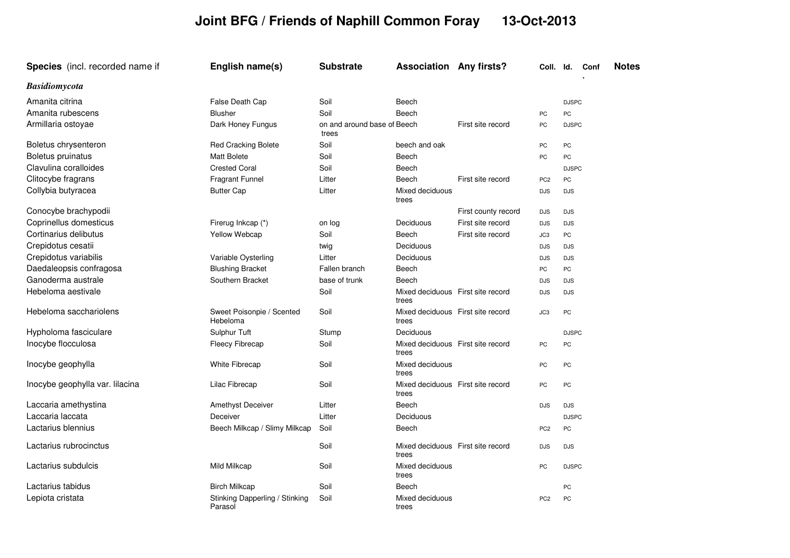## **Joint BFG / Friends of Naphill Common Foray 13-Oct-2013**

| <b>Species</b> (incl. recorded name if | English name(s)                           | <b>Substrate</b>                     | <b>Association Any firsts?</b>             |                     | Coll. Id.       |              | Conf | <b>Notes</b> |
|----------------------------------------|-------------------------------------------|--------------------------------------|--------------------------------------------|---------------------|-----------------|--------------|------|--------------|
| <b>Basidiomycota</b>                   |                                           |                                      |                                            |                     |                 |              |      |              |
| Amanita citrina                        | False Death Cap                           | Soil                                 | Beech                                      |                     |                 | <b>DJSPC</b> |      |              |
| Amanita rubescens                      | <b>Blusher</b>                            | Soil                                 | Beech                                      |                     | PC              | PC           |      |              |
| Armillaria ostoyae                     | Dark Honey Fungus                         | on and around base of Beech<br>trees |                                            | First site record   | PC              | <b>DJSPC</b> |      |              |
| Boletus chrysenteron                   | <b>Red Cracking Bolete</b>                | Soil                                 | beech and oak                              |                     | PC              | PC           |      |              |
| Boletus pruinatus                      | <b>Matt Bolete</b>                        | Soil                                 | Beech                                      |                     | PC              | PC           |      |              |
| Clavulina coralloides                  | <b>Crested Coral</b>                      | Soil                                 | Beech                                      |                     |                 | <b>DJSPC</b> |      |              |
| Clitocybe fragrans                     | Fragrant Funnel                           | Litter                               | Beech                                      | First site record   | PC <sub>2</sub> | PC           |      |              |
| Collybia butyracea                     | <b>Butter Cap</b>                         | Litter                               | Mixed deciduous<br>trees                   |                     | <b>DJS</b>      | <b>DJS</b>   |      |              |
| Conocybe brachypodii                   |                                           |                                      |                                            | First county record | <b>DJS</b>      | <b>DJS</b>   |      |              |
| Coprinellus domesticus                 | Firerug Inkcap (*)                        | on log                               | Deciduous                                  | First site record   | <b>DJS</b>      | <b>DJS</b>   |      |              |
| Cortinarius delibutus                  | Yellow Webcap                             | Soil                                 | Beech                                      | First site record   | JC3             | PC           |      |              |
| Crepidotus cesatii                     |                                           | twig                                 | Deciduous                                  |                     | <b>DJS</b>      | <b>DJS</b>   |      |              |
| Crepidotus variabilis                  | Variable Oysterling                       | Litter                               | Deciduous                                  |                     | <b>DJS</b>      | <b>DJS</b>   |      |              |
| Daedaleopsis confragosa                | <b>Blushing Bracket</b>                   | Fallen branch                        | Beech                                      |                     | PC              | PC           |      |              |
| Ganoderma australe                     | Southern Bracket                          | base of trunk                        | Beech                                      |                     | <b>DJS</b>      | <b>DJS</b>   |      |              |
| Hebeloma aestivale                     |                                           | Soil                                 | Mixed deciduous First site record<br>trees |                     | <b>DJS</b>      | <b>DJS</b>   |      |              |
| Hebeloma sacchariolens                 | Sweet Poisonpie / Scented<br>Hebeloma     | Soil                                 | Mixed deciduous First site record<br>trees |                     | JC3             | PC           |      |              |
| Hypholoma fasciculare                  | Sulphur Tuft                              | Stump                                | Deciduous                                  |                     |                 | <b>DJSPC</b> |      |              |
| Inocybe flocculosa                     | Fleecy Fibrecap                           | Soil                                 | Mixed deciduous First site record<br>trees |                     | PC              | PC           |      |              |
| Inocybe geophylla                      | White Fibrecap                            | Soil                                 | Mixed deciduous<br>trees                   |                     | PC              | PC           |      |              |
| Inocybe geophylla var. lilacina        | Lilac Fibrecap                            | Soil                                 | Mixed deciduous First site record<br>trees |                     | <b>PC</b>       | PC           |      |              |
| Laccaria amethystina                   | Amethyst Deceiver                         | Litter                               | Beech                                      |                     | <b>DJS</b>      | <b>DJS</b>   |      |              |
| Laccaria laccata                       | Deceiver                                  | Litter                               | Deciduous                                  |                     |                 | <b>DJSPC</b> |      |              |
| Lactarius blennius                     | Beech Milkcap / Slimy Milkcap             | Soil                                 | Beech                                      |                     | PC <sub>2</sub> | PC           |      |              |
| Lactarius rubrocinctus                 |                                           | Soil                                 | Mixed deciduous First site record<br>trees |                     | <b>DJS</b>      | <b>DJS</b>   |      |              |
| Lactarius subdulcis                    | Mild Milkcap                              | Soil                                 | Mixed deciduous<br>trees                   |                     | PC              | <b>DJSPC</b> |      |              |
| Lactarius tabidus                      | <b>Birch Milkcap</b>                      | Soil                                 | Beech                                      |                     |                 | PC           |      |              |
| Lepiota cristata                       | Stinking Dapperling / Stinking<br>Parasol | Soil                                 | Mixed deciduous<br>trees                   |                     | PC <sub>2</sub> | PC           |      |              |